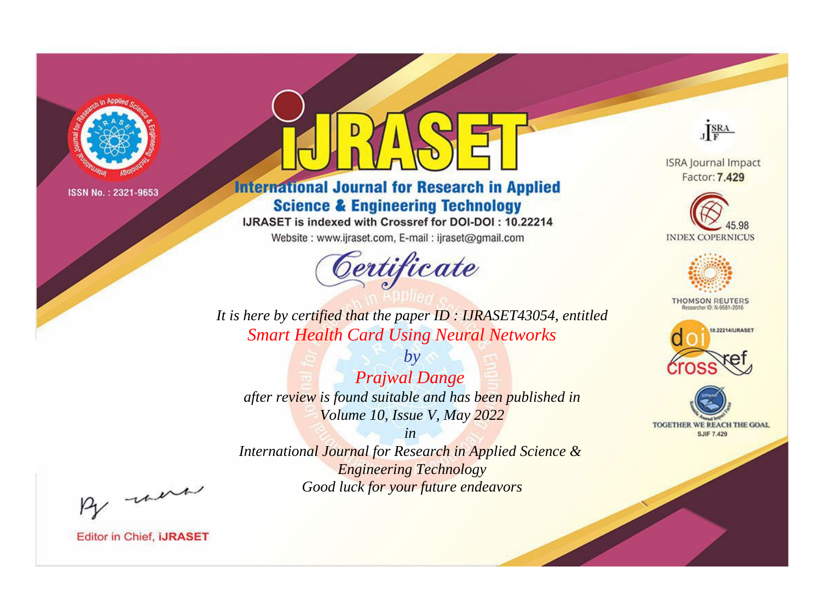

# **International Journal for Research in Applied Science & Engineering Technology**

IJRASET is indexed with Crossref for DOI-DOI: 10.22214

Website: www.ijraset.com, E-mail: ijraset@gmail.com



JERA

**ISRA Journal Impact** Factor: 7.429





**THOMSON REUTERS** 



TOGETHER WE REACH THE GOAL **SJIF 7.429** 

It is here by certified that the paper ID: IJRASET43054, entitled **Smart Health Card Using Neural Networks** 

 $b\nu$ **Prajwal Dange** after review is found suitable and has been published in Volume 10, Issue V, May 2022

 $in$ International Journal for Research in Applied Science & **Engineering Technology** Good luck for your future endeavors

By morn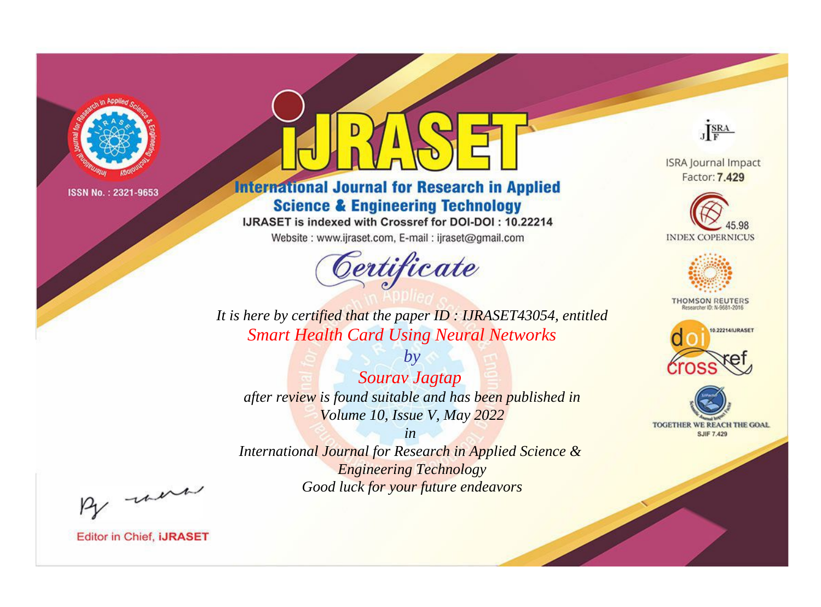

# **International Journal for Research in Applied Science & Engineering Technology**

IJRASET is indexed with Crossref for DOI-DOI: 10.22214

Website: www.ijraset.com, E-mail: ijraset@gmail.com



JERA

**ISRA Journal Impact** Factor: 7.429





**THOMSON REUTERS** 



TOGETHER WE REACH THE GOAL **SJIF 7.429** 

*It is here by certified that the paper ID : IJRASET43054, entitled Smart Health Card Using Neural Networks*

*by Sourav Jagtap after review is found suitable and has been published in Volume 10, Issue V, May 2022*

*in* 

*International Journal for Research in Applied Science & Engineering Technology Good luck for your future endeavors*

By morn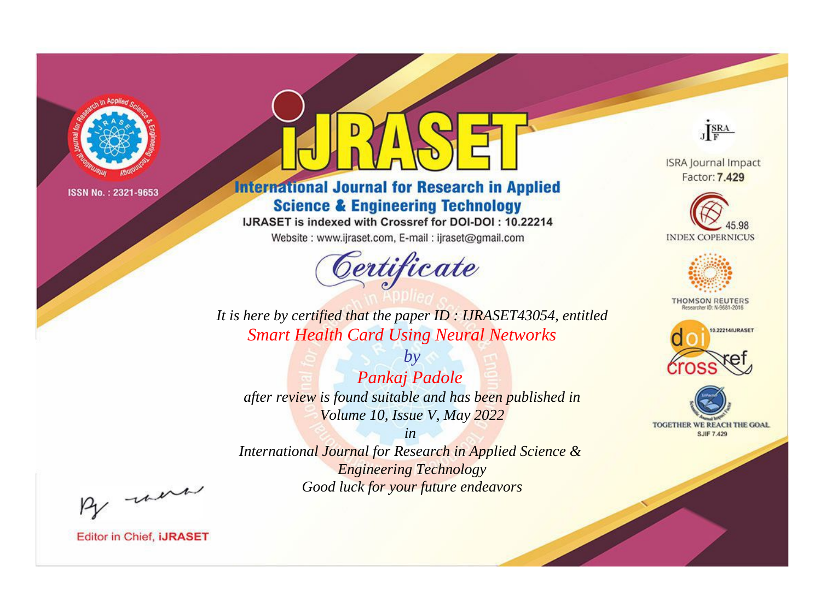

# **International Journal for Research in Applied Science & Engineering Technology**

IJRASET is indexed with Crossref for DOI-DOI: 10.22214

Website: www.ijraset.com, E-mail: ijraset@gmail.com



**ISRA Journal Impact** 

JERA

Factor: 7.429





**THOMSON REUTERS** 



TOGETHER WE REACH THE GOAL **SJIF 7.429** 

*It is here by certified that the paper ID : IJRASET43054, entitled Smart Health Card Using Neural Networks*

*by Pankaj Padole after review is found suitable and has been published in Volume 10, Issue V, May 2022*

*in* 

*International Journal for Research in Applied Science & Engineering Technology Good luck for your future endeavors*

By morn